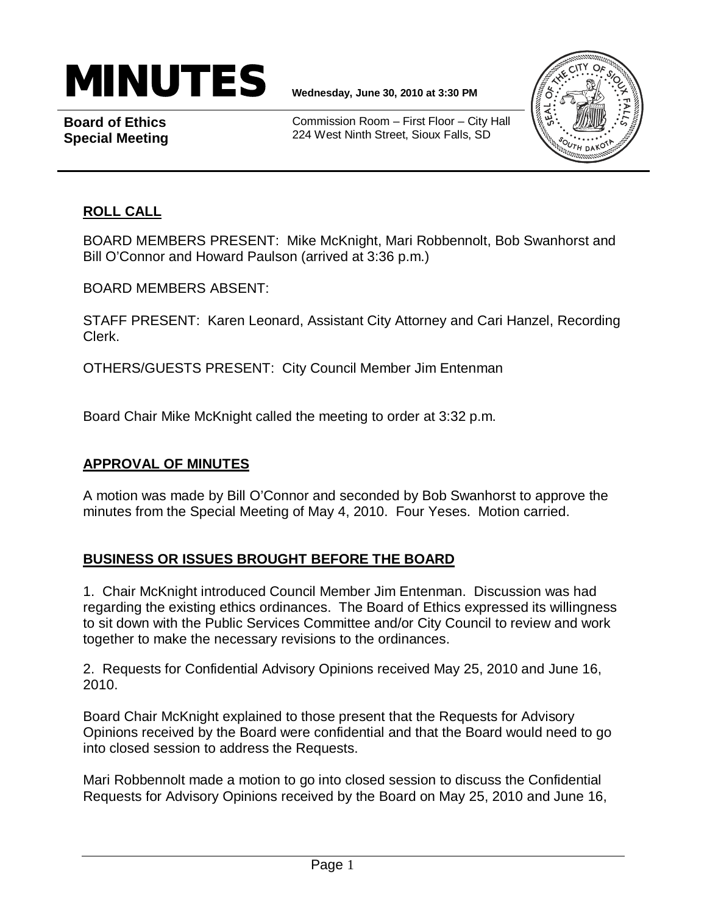# MINUTES **Wednesday, June 30, <sup>2010</sup> at 3:30 PM**

**Board of Ethics Special Meeting**

Commission Room – First Floor – City Hall 224 West Ninth Street, Sioux Falls, SD



# **ROLL CALL**

BOARD MEMBERS PRESENT: Mike McKnight, Mari Robbennolt, Bob Swanhorst and Bill O'Connor and Howard Paulson (arrived at 3:36 p.m.)

BOARD MEMBERS ABSENT:

STAFF PRESENT: Karen Leonard, Assistant City Attorney and Cari Hanzel, Recording Clerk.

OTHERS/GUESTS PRESENT: City Council Member Jim Entenman

Board Chair Mike McKnight called the meeting to order at 3:32 p.m.

### **APPROVAL OF MINUTES**

A motion was made by Bill O'Connor and seconded by Bob Swanhorst to approve the minutes from the Special Meeting of May 4, 2010. Four Yeses. Motion carried.

## **BUSINESS OR ISSUES BROUGHT BEFORE THE BOARD**

1. Chair McKnight introduced Council Member Jim Entenman. Discussion was had regarding the existing ethics ordinances. The Board of Ethics expressed its willingness to sit down with the Public Services Committee and/or City Council to review and work together to make the necessary revisions to the ordinances.

2. Requests for Confidential Advisory Opinions received May 25, 2010 and June 16, 2010.

Board Chair McKnight explained to those present that the Requests for Advisory Opinions received by the Board were confidential and that the Board would need to go into closed session to address the Requests.

Mari Robbennolt made a motion to go into closed session to discuss the Confidential Requests for Advisory Opinions received by the Board on May 25, 2010 and June 16,